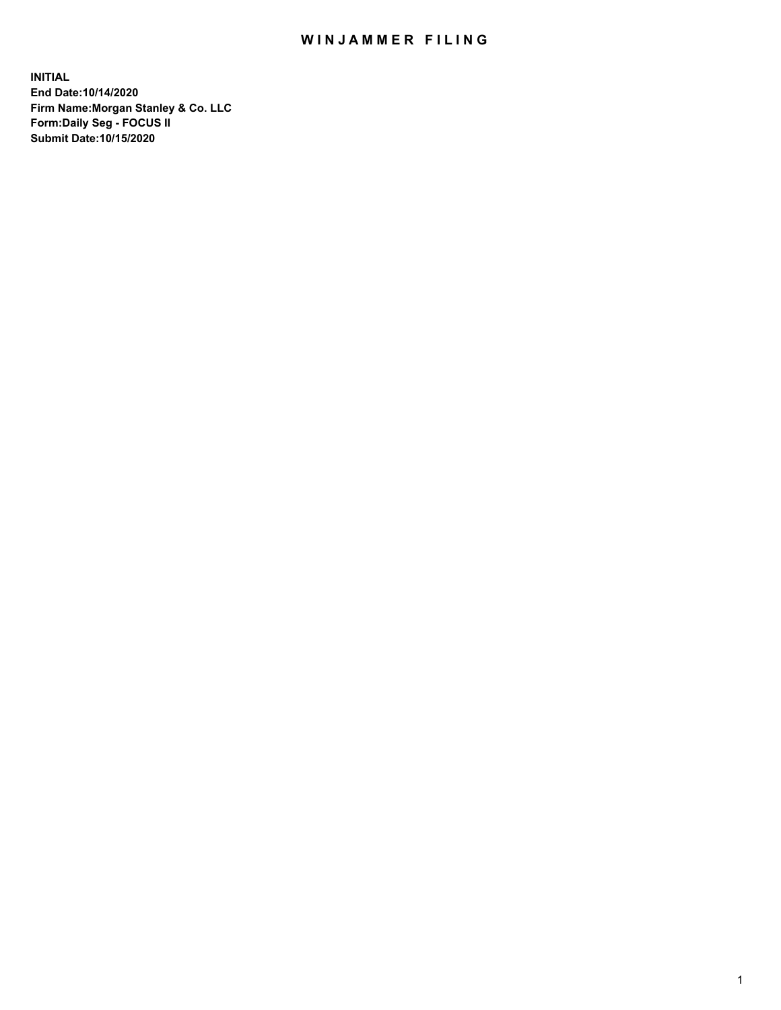## WIN JAMMER FILING

**INITIAL End Date:10/14/2020 Firm Name:Morgan Stanley & Co. LLC Form:Daily Seg - FOCUS II Submit Date:10/15/2020**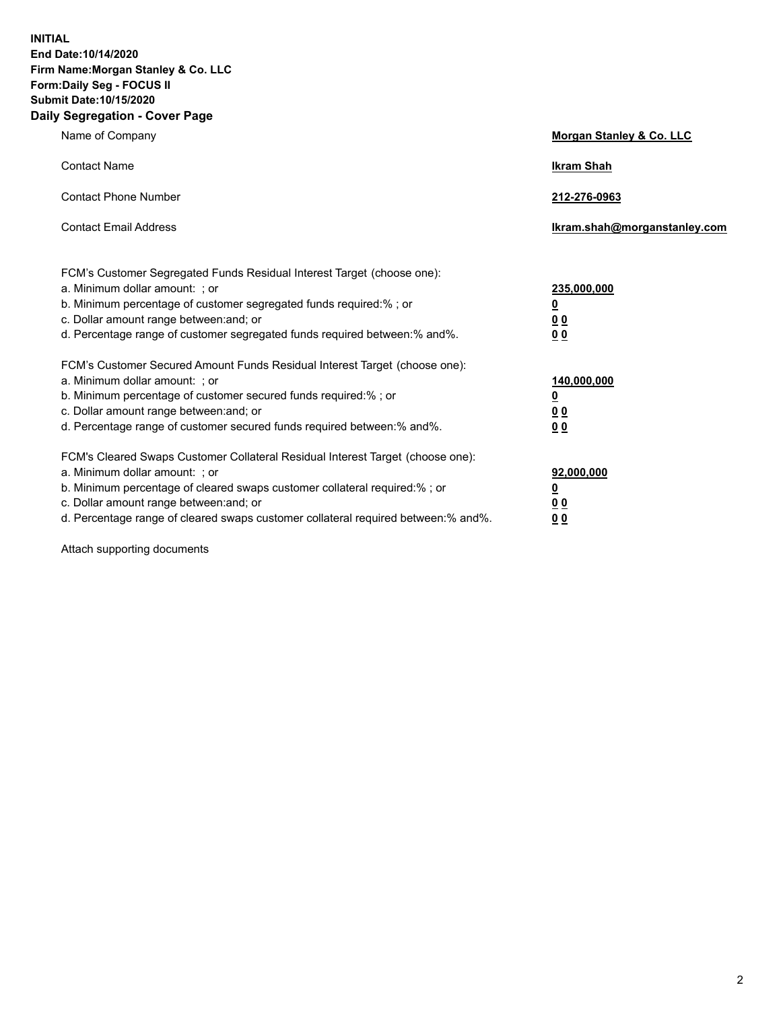**INITIAL End Date:10/14/2020 Firm Name:Morgan Stanley & Co. LLC Form:Daily Seg - FOCUS II Submit Date:10/15/2020 Daily Segregation - Cover Page**

| Name of Company                                                                                                                                                                                                                                                                                                                | Morgan Stanley & Co. LLC                                |
|--------------------------------------------------------------------------------------------------------------------------------------------------------------------------------------------------------------------------------------------------------------------------------------------------------------------------------|---------------------------------------------------------|
| <b>Contact Name</b>                                                                                                                                                                                                                                                                                                            | <b>Ikram Shah</b>                                       |
| <b>Contact Phone Number</b>                                                                                                                                                                                                                                                                                                    | 212-276-0963                                            |
| <b>Contact Email Address</b>                                                                                                                                                                                                                                                                                                   | Ikram.shah@morganstanley.com                            |
| FCM's Customer Segregated Funds Residual Interest Target (choose one):<br>a. Minimum dollar amount: ; or<br>b. Minimum percentage of customer segregated funds required:% ; or<br>c. Dollar amount range between: and; or<br>d. Percentage range of customer segregated funds required between: % and %.                       | 235,000,000<br><u>0</u><br><u>00</u><br><u>00</u>       |
| FCM's Customer Secured Amount Funds Residual Interest Target (choose one):<br>a. Minimum dollar amount: ; or<br>b. Minimum percentage of customer secured funds required:% ; or<br>c. Dollar amount range between: and; or<br>d. Percentage range of customer secured funds required between:% and%.                           | 140,000,000<br><u>0</u><br><u>0 0</u><br>0 <sub>0</sub> |
| FCM's Cleared Swaps Customer Collateral Residual Interest Target (choose one):<br>a. Minimum dollar amount: ; or<br>b. Minimum percentage of cleared swaps customer collateral required:% ; or<br>c. Dollar amount range between: and; or<br>d. Percentage range of cleared swaps customer collateral required between:% and%. | 92,000,000<br><u>0</u><br><u>00</u><br>00               |

Attach supporting documents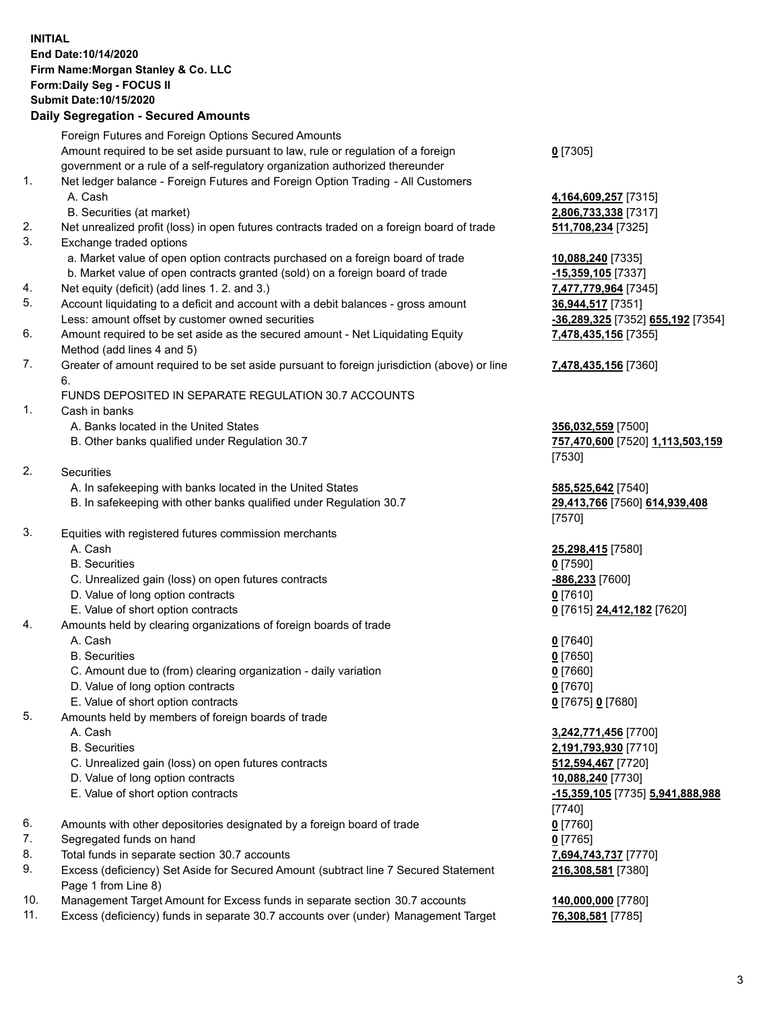## **INITIAL End Date:10/14/2020 Firm Name:Morgan Stanley & Co. LLC Form:Daily Seg - FOCUS II Submit Date:10/15/2020**

## **Daily Segregation - Secured Amounts**

|    | Foreign Futures and Foreign Options Secured Amounts                                         |                                              |
|----|---------------------------------------------------------------------------------------------|----------------------------------------------|
|    | Amount required to be set aside pursuant to law, rule or regulation of a foreign            | $0$ [7305]                                   |
|    | government or a rule of a self-regulatory organization authorized thereunder                |                                              |
| 1. | Net ledger balance - Foreign Futures and Foreign Option Trading - All Customers<br>A. Cash  |                                              |
|    | B. Securities (at market)                                                                   | 4,164,609,257 [7315]<br>2,806,733,338 [7317] |
| 2. | Net unrealized profit (loss) in open futures contracts traded on a foreign board of trade   | 511,708,234 [7325]                           |
| 3. | Exchange traded options                                                                     |                                              |
|    | a. Market value of open option contracts purchased on a foreign board of trade              | 10,088,240 [7335]                            |
|    | b. Market value of open contracts granted (sold) on a foreign board of trade                | $-15,359,105$ [7337]                         |
| 4. | Net equity (deficit) (add lines 1.2. and 3.)                                                | 7,477,779,964 [7345]                         |
| 5. | Account liquidating to a deficit and account with a debit balances - gross amount           | 36,944,517 [7351]                            |
|    | Less: amount offset by customer owned securities                                            | <u>-36,289,325</u> [7352] 65                 |
| 6. | Amount required to be set aside as the secured amount - Net Liquidating Equity              | 7,478,435,156 [7355]                         |
|    | Method (add lines 4 and 5)                                                                  |                                              |
| 7. | Greater of amount required to be set aside pursuant to foreign jurisdiction (above) or line | 7,478,435,156 [7360]                         |
|    | 6.<br>FUNDS DEPOSITED IN SEPARATE REGULATION 30.7 ACCOUNTS                                  |                                              |
| 1. | Cash in banks                                                                               |                                              |
|    | A. Banks located in the United States                                                       | 356,032,559 [7500]                           |
|    | B. Other banks qualified under Regulation 30.7                                              | 757,470,600 [7520] 1                         |
|    |                                                                                             | [7530]                                       |
| 2. | Securities                                                                                  |                                              |
|    | A. In safekeeping with banks located in the United States                                   | 585,525,642 [7540]                           |
|    | B. In safekeeping with other banks qualified under Regulation 30.7                          | 29,413,766 [7560] 61                         |
|    |                                                                                             | [7570]                                       |
| 3. | Equities with registered futures commission merchants                                       |                                              |
|    | A. Cash                                                                                     | 25,298,415 [7580]                            |
|    | <b>B.</b> Securities                                                                        | $0$ [7590]                                   |
|    | C. Unrealized gain (loss) on open futures contracts                                         | -886,233 [7600]                              |
|    | D. Value of long option contracts                                                           | $0$ [7610]                                   |
|    | E. Value of short option contracts                                                          | 0 [7615] 24,412,182 [                        |
| 4. | Amounts held by clearing organizations of foreign boards of trade                           |                                              |
|    | A. Cash                                                                                     | $0$ [7640]                                   |
|    | <b>B.</b> Securities                                                                        | $0$ [7650]                                   |
|    | C. Amount due to (from) clearing organization - daily variation                             | $0$ [7660]                                   |
|    | D. Value of long option contracts<br>E. Value of short option contracts                     | $0$ [7670]<br>0 [7675] 0 [7680]              |
| 5. | Amounts held by members of foreign boards of trade                                          |                                              |
|    | A. Cash                                                                                     | 3,242,771,456 [7700]                         |
|    | <b>B.</b> Securities                                                                        | 2,191,793,930 [7710]                         |
|    | C. Unrealized gain (loss) on open futures contracts                                         | 512,594,467 [7720]                           |
|    | D. Value of long option contracts                                                           | 10,088,240 [7730]                            |
|    | E. Value of short option contracts                                                          | <u>-15,359,105</u> [7735] 5,                 |
|    |                                                                                             | [7740]                                       |
| 6. | Amounts with other depositories designated by a foreign board of trade                      | $0$ [7760]                                   |
| 7. | Segregated funds on hand                                                                    | $0$ [7765]                                   |
| 8. | Total funds in separate section 30.7 accounts                                               | 7,694,743,737 [7770]                         |
| 9. | Excess (deficiency) Set Aside for Secured Amount (subtract line 7 Secured Statement         | 216,308,581 [7380]                           |
|    | Page 1 from Line 8)                                                                         |                                              |

- 10. Management Target Amount for Excess funds in separate section 30.7 accounts **140,000,000** [7780]
- 11. Excess (deficiency) funds in separate 30.7 accounts over (under) Management Target **76,308,581** [7785]

**9,257** [7315] **3,338** [7317]

Less: amount offset by customer owned securities **-36,289,325** [7352] **655,192** [7354] **85,156** [7355]

## **85,156** [7360]

B. Other banks qualified under Regulation 30.7 **757,470,600** [7520] **1,113,503,159**

B. In safekeeping with other banks qualified under Regulation 30.7 **29,413,766** [7560] **614,939,408**

E. Value of short option contracts **0** [7615] **24,412,182** [7620]

 A. Cash **3,242,771,456** [7700] **3,930** [7710] E. Value of short option contracts **-15,359,105** [7735] **5,941,888,988 216,308,581** [7380]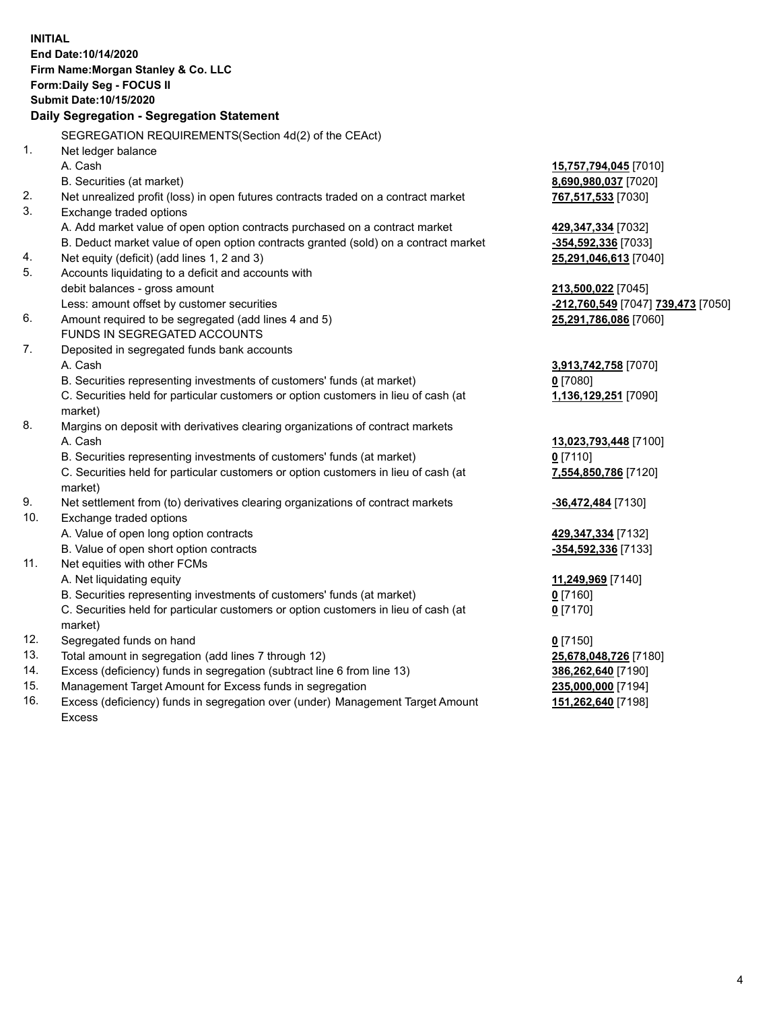|     | <b>INITIAL</b><br>End Date:10/14/2020<br>Firm Name: Morgan Stanley & Co. LLC<br>Form: Daily Seg - FOCUS II |                                                        |
|-----|------------------------------------------------------------------------------------------------------------|--------------------------------------------------------|
|     | Submit Date: 10/15/2020                                                                                    |                                                        |
|     | Daily Segregation - Segregation Statement                                                                  |                                                        |
|     | SEGREGATION REQUIREMENTS(Section 4d(2) of the CEAct)                                                       |                                                        |
| 1.  | Net ledger balance                                                                                         |                                                        |
|     | A. Cash                                                                                                    | 15,757,794,045 [7010]                                  |
|     | B. Securities (at market)                                                                                  | 8,690,980,037 [7020]                                   |
| 2.  | Net unrealized profit (loss) in open futures contracts traded on a contract market                         | 767,517,533 [7030]                                     |
| 3.  | Exchange traded options                                                                                    |                                                        |
|     | A. Add market value of open option contracts purchased on a contract market                                | 429,347,334 [7032]                                     |
|     | B. Deduct market value of open option contracts granted (sold) on a contract market                        | -354,592,336 [7033]                                    |
| 4.  | Net equity (deficit) (add lines 1, 2 and 3)                                                                | 25,291,046,613 [7040]                                  |
| 5.  | Accounts liquidating to a deficit and accounts with                                                        |                                                        |
|     | debit balances - gross amount                                                                              | 213,500,022 [7045]                                     |
|     | Less: amount offset by customer securities                                                                 | <mark>-212,760,549</mark> [7047] <b>739,473</b> [7050] |
| 6.  | Amount required to be segregated (add lines 4 and 5)                                                       | 25,291,786,086 [7060]                                  |
|     | FUNDS IN SEGREGATED ACCOUNTS                                                                               |                                                        |
| 7.  | Deposited in segregated funds bank accounts                                                                |                                                        |
|     | A. Cash                                                                                                    | 3,913,742,758 [7070]                                   |
|     | B. Securities representing investments of customers' funds (at market)                                     | $0$ [7080]                                             |
|     | C. Securities held for particular customers or option customers in lieu of cash (at                        | 1,136,129,251 [7090]                                   |
|     | market)                                                                                                    |                                                        |
| 8.  | Margins on deposit with derivatives clearing organizations of contract markets                             |                                                        |
|     | A. Cash                                                                                                    | 13,023,793,448 [7100]                                  |
|     | B. Securities representing investments of customers' funds (at market)                                     | $0$ [7110]                                             |
|     | C. Securities held for particular customers or option customers in lieu of cash (at<br>market)             | 7,554,850,786 [7120]                                   |
| 9.  | Net settlement from (to) derivatives clearing organizations of contract markets                            | -36,472,484 [7130]                                     |
| 10. | Exchange traded options                                                                                    |                                                        |
|     | A. Value of open long option contracts                                                                     | 429,347,334 [7132]                                     |
|     | B. Value of open short option contracts                                                                    | -354,592,336 [7133]                                    |
| 11. | Net equities with other FCMs                                                                               |                                                        |
|     | A. Net liquidating equity                                                                                  | 11,249,969 [7140]                                      |
|     | B. Securities representing investments of customers' funds (at market)                                     | 0 [7160]                                               |
|     | C. Securities held for particular customers or option customers in lieu of cash (at<br>market)             | $0$ [7170]                                             |
| 12. | Segregated funds on hand                                                                                   | $0$ [7150]                                             |
| 13. | Total amount in segregation (add lines 7 through 12)                                                       | 25,678,048,726 [7180]                                  |
| 14. | Excess (deficiency) funds in segregation (subtract line 6 from line 13)                                    | 386,262,640 [7190]                                     |
| 15. | Management Target Amount for Excess funds in segregation                                                   | 235,000,000 [7194]                                     |
| 16. | Excess (deficiency) funds in segregation over (under) Management Target Amount                             | 151,262,640 [7198]                                     |

16. Excess (deficiency) funds in segregation over (under) Management Target Amount Excess